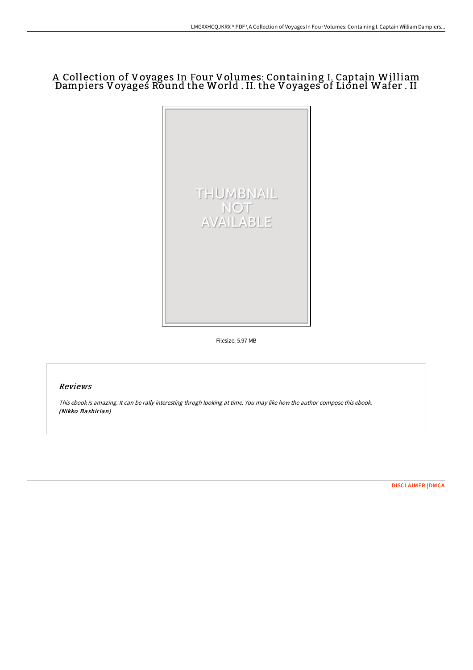## A Collection of Voyages In Four Volumes: Containing I. Captain William Dampiers Voyages Round the World . II. the Voyages of Lionel Wafer . II



Filesize: 5.97 MB

## Reviews

This ebook is amazing. It can be rally interesting throgh looking at time. You may like how the author compose this ebook. (Nikko Bashirian)

[DISCLAIMER](http://albedo.media/disclaimer.html) | [DMCA](http://albedo.media/dmca.html)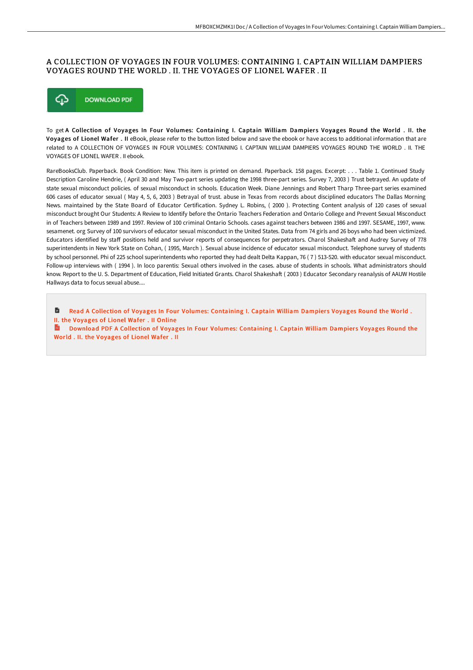## A COLLECTION OF VOYAGES IN FOUR VOLUMES: CONTAINING I. CAPTAIN WILLIAM DAMPIERS VOYAGES ROUND THE WORLD . II. THE VOYAGES OF LIONEL WAFER . II



To get A Collection of Voyages In Four Volumes: Containing I. Captain William Dampiers Voyages Round the World . II. the Voyages of Lionel Wafer . II eBook, please refer to the button listed below and save the ebook or have access to additional information that are related to A COLLECTION OF VOYAGES IN FOUR VOLUMES: CONTAINING I. CAPTAIN WILLIAM DAMPIERS VOYAGES ROUND THE WORLD . II. THE VOYAGES OF LIONEL WAFER . II ebook.

RareBooksClub. Paperback. Book Condition: New. This item is printed on demand. Paperback. 158 pages. Excerpt: . . . Table 1. Continued Study Description Caroline Hendrie, ( April 30 and May Two-part series updating the 1998 three-part series. Survey 7, 2003 ) Trust betrayed. An update of state sexual misconduct policies. of sexual misconduct in schools. Education Week. Diane Jennings and Robert Tharp Three-part series examined 606 cases of educator sexual ( May 4, 5, 6, 2003 ) Betrayal of trust. abuse in Texas from records about disciplined educators The Dallas Morning News. maintained by the State Board of Educator Certification. Sydney L. Robins, ( 2000 ). Protecting Content analysis of 120 cases of sexual misconduct brought Our Students: A Review to Identify before the Ontario Teachers Federation and Ontario College and Prevent Sexual Misconduct in of Teachers between 1989 and 1997. Review of 100 criminal Ontario Schools. cases against teachers between 1986 and 1997. SESAME, 1997, www. sesamenet. org Survey of 100 survivors of educator sexual misconduct in the United States. Data from 74 girls and 26 boys who had been victimized. Educators identified by staff positions held and survivor reports of consequences for perpetrators. Charol Shakeshaft and Audrey Survey of 778 superintendents in New York State on Cohan, ( 1995, March ). Sexual abuse incidence of educator sexual misconduct. Telephone survey of students by school personnel. Phi of 225 school superintendents who reported they had dealt Delta Kappan, 76 ( 7 ) 513-520. with educator sexual misconduct. Follow-up interviews with ( 1994 ). In loco parentis: Sexual others involved in the cases. abuse of students in schools. What administrators should know. Report to the U. S. Department of Education, Field Initiated Grants. Charol Shakeshaft (2003) Educator Secondary reanalysis of AAUW Hostile Hallways data to focus sexual abuse....

B Read A Collection of Voyages In Four Volumes: [Containing](http://albedo.media/a-collection-of-voyages-in-four-volumes-containi.html) I. Captain William Dampiers Voyages Round the World. II. the Voyages of Lionel Wafer . II Online

 $\mathbf{m}$ Download PDF A Collection of Voyages In Four Volumes: [Containing](http://albedo.media/a-collection-of-voyages-in-four-volumes-containi.html) I. Captain William Dampiers Voyages Round the World . II. the Voyages of Lionel Wafer . II